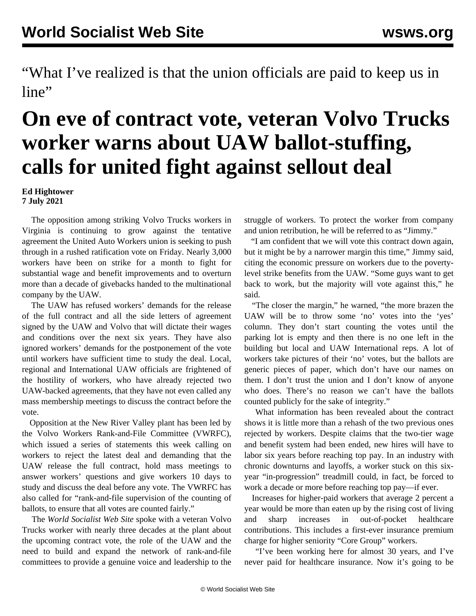"What I've realized is that the union officials are paid to keep us in line"

## **On eve of contract vote, veteran Volvo Trucks worker warns about UAW ballot-stuffing, calls for united fight against sellout deal**

**Ed Hightower 7 July 2021**

 The opposition among striking Volvo Trucks workers in Virginia is continuing to grow against the tentative agreement the United Auto Workers union is seeking to push through in a rushed ratification vote on Friday. Nearly 3,000 workers have been on strike for a month to fight for substantial wage and benefit improvements and to overturn more than a decade of givebacks handed to the multinational company by the UAW.

 The UAW has refused workers' demands for the release of the full contract and all the side letters of agreement signed by the UAW and Volvo that will dictate their wages and conditions over the next six years. They have also ignored workers' demands for the postponement of the vote until workers have sufficient time to study the deal. Local, regional and International UAW officials are frightened of the hostility of workers, who have already rejected two UAW-backed agreements, that they have not even called any mass membership meetings to discuss the contract before the vote.

 Opposition at the New River Valley plant has been led by the Volvo Workers Rank-and-File Committee (VWRFC), which issued a series of statements this week calling on workers to [reject](/en/articles/2021/07/05/volv-j04.html) the latest deal and [demanding](/en/articles/2021/07/07/vol2-j07.html) that the UAW release the full contract, hold mass meetings to answer workers' questions and give workers 10 days to study and discuss the deal before any vote. The VWRFC has also called for "rank-and-file supervision of the counting of ballots, to ensure that all votes are counted fairly."

 The *World Socialist Web Site* spoke with a veteran Volvo Trucks worker with nearly three decades at the plant about the upcoming contract vote, the role of the UAW and the need to build and expand the network of rank-and-file committees to provide a genuine voice and leadership to the struggle of workers. To protect the worker from company and union retribution, he will be referred to as "Jimmy."

 "I am confident that we will vote this contract down again, but it might be by a narrower margin this time," Jimmy said, citing the economic pressure on workers due to the povertylevel strike benefits from the UAW. "Some guys want to get back to work, but the majority will vote against this," he said.

 "The closer the margin," he warned, "the more brazen the UAW will be to throw some 'no' votes into the 'yes' column. They don't start counting the votes until the parking lot is empty and then there is no one left in the building but local and UAW International reps. A lot of workers take pictures of their 'no' votes, but the ballots are generic pieces of paper, which don't have our names on them. I don't trust the union and I don't know of anyone who does. There's no reason we can't have the ballots counted publicly for the sake of integrity."

 What information has been revealed about the contract shows it is little more than a rehash of the two previous ones rejected by workers. Despite claims that the two-tier wage and benefit system had been ended, new hires will have to labor six years before reaching top pay. In an industry with chronic downturns and layoffs, a worker stuck on this sixyear "in-progression" treadmill could, in fact, be forced to work a decade or more before reaching top pay—if ever.

 Increases for higher-paid workers that average 2 percent a year would be more than eaten up by the rising cost of living and sharp increases in out-of-pocket healthcare contributions. This includes a first-ever insurance premium charge for higher seniority "Core Group" workers.

 "I've been working here for almost 30 years, and I've never paid for healthcare insurance. Now it's going to be